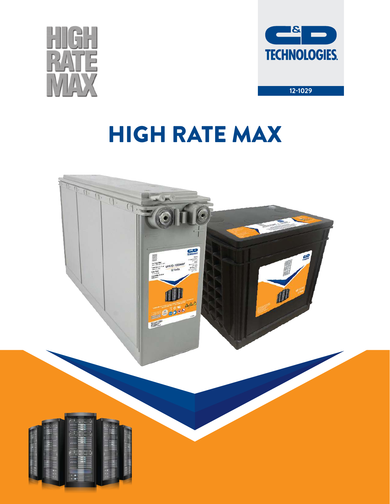



# HIGH RATE MAX

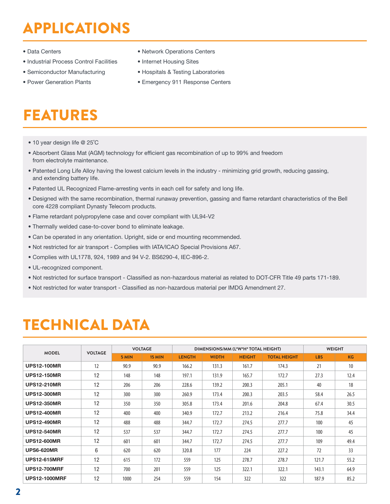# APPLICATIONS

- Data Centers
- Industrial Process Control Facilities
- Semiconductor Manufacturing
- Power Generation Plants
- Network Operations Centers
- Internet Housing Sites
- Hospitals & Testing Laboratories
- Emergency 911 Response Centers

# FEATURES

- 10 year design life @ 25˚C
- Absorbent Glass Mat (AGM) technology for efficient gas recombination of up to 99% and freedom from electrolyte maintenance.
- Patented Long Life Alloy having the lowest calcium levels in the industry minimizing grid growth, reducing gassing, and extending battery life.
- Patented UL Recognized Flame-arresting vents in each cell for safety and long life.
- Designed with the same recombination, thermal runaway prevention, gassing and flame retardant characteristics of the Bell core 4228 compliant Dynasty Telecom products.
- Flame retardant polypropylene case and cover compliant with UL94-V2
- Thermally welded case-to-cover bond to eliminate leakage.
- Can be operated in any orientation. Upright, side or end mounting recommended.
- Not restricted for air transport Complies with IATA/ICAO Special Provisions A67.
- Complies with UL1778, 924, 1989 and 94 V-2. BS6290-4, IEC-896-2.
- UL-recognized component.
- Not restricted for surface transport Classified as non-hazardous material as related to DOT-CFR Title 49 parts 171-189.
- Not restricted for water transport Classified as non-hazardous material per IMDG Amendment 27.

## TECHNICAL DATA

|                      | <b>VOLTAGE</b> |       | <b>VOLTAGE</b> |               |              | DIMENSIONS/MM (L*W*H* TOTAL HEIGHT) |                     |            | <b>WEIGHT</b> |
|----------------------|----------------|-------|----------------|---------------|--------------|-------------------------------------|---------------------|------------|---------------|
| <b>MODEL</b>         |                | 5 MIN | <b>15 MIN</b>  | <b>LENGTH</b> | <b>WIDTH</b> | <b>HEIGHT</b>                       | <b>TOTAL HEIGHT</b> | <b>LBS</b> | <b>KG</b>     |
| <b>UPS12-100MR</b>   | 12             | 90.9  | 90.9           | 166.2         | 131.3        | 161.7                               | 174.3               | 21         | 10            |
| <b>UPS12-150MR</b>   | 12             | 148   | 148            | 197.1         | 131.9        | 165.7                               | 172.7               | 27.3       | 12.4          |
| <b>UPS12-210MR</b>   | 12             | 206   | 206            | 228.6         | 139.2        | 200.3                               | 205.1               | 40         | 18            |
| <b>UPS12-300MR</b>   | 12             | 300   | 300            | 260.9         | 173.4        | 200.3                               | 203.5               | 58.4       | 26.5          |
| <b>UPS12-350MR</b>   | 12             | 350   | 350            | 305.8         | 173.4        | 201.6                               | 204.8               | 67.4       | 30.5          |
| <b>UPS12-400MR</b>   | 12             | 400   | 400            | 340.9         | 172.7        | 213.2                               | 216.4               | 75.8       | 34.4          |
| <b>UPS12-490MR</b>   | 12             | 488   | 488            | 344.7         | 172.7        | 274.5                               | 277.7               | 100        | 45            |
| <b>UPS12-540MR</b>   | 12             | 537   | 537            | 344.7         | 172.7        | 274.5                               | 277.7               | 100        | 45            |
| <b>UPS12-600MR</b>   | 12             | 601   | 601            | 344.7         | 172.7        | 274.5                               | 277.7               | 109        | 49.4          |
| <b>UPS6-620MR</b>    | 6              | 620   | 620            | 320.8         | 177          | 224                                 | 227.2               | 72         | 33            |
| <b>UPS12-615MRF</b>  | 12             | 615   | 172            | 559           | 125          | 278.7                               | 278.7               | 121.7      | 55.2          |
| <b>UPS12-700MRF</b>  | 12             | 700   | 201            | 559           | 125          | 322.1                               | 322.1               | 143.1      | 64.9          |
| <b>UPS12-1000MRF</b> | 12             | 1000  | 254            | 559           | 154          | 322                                 | 322                 | 187.9      | 85.2          |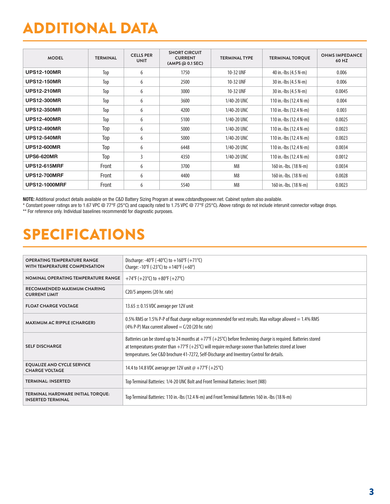# ADDITIONAL DATA

| <b>MODEL</b>         | <b>TERMINAL</b> | <b>CELLS PER</b><br><b>UNIT</b> | <b>SHORT CIRCUIT</b><br><b>CURRENT</b><br>(AMPS @ 0.1 SEC) | <b>TERMINAL TYPE</b> | <b>TERMINAL TORQUE</b> | <b>OHMS IMPEDANCE</b><br>60 HZ |
|----------------------|-----------------|---------------------------------|------------------------------------------------------------|----------------------|------------------------|--------------------------------|
| <b>UPS12-100MR</b>   | Top             | 6                               | 1750                                                       | 10-32 UNF            | 40 in.-lbs (4.5 N-m)   | 0.006                          |
| <b>UPS12-150MR</b>   | Top             | 6                               | 2500                                                       | 10-32 UNF            | 30 in.-lbs (4.5 N-m)   | 0.006                          |
| <b>UPS12-210MR</b>   | Top             | 6                               | 3000                                                       | 10-32 UNF            | 30 in.-lbs (4.5 N-m)   | 0.0045                         |
| <b>UPS12-300MR</b>   | Top             | 6                               | 3600                                                       | 1/40-20 UNC          | 110 in.-lbs (12.4 N-m) | 0.004                          |
| <b>UPS12-350MR</b>   | Top             | 6                               | 4200                                                       | 1/40-20 UNC          | 110 in.-lbs (12.4 N-m) | 0.003                          |
| <b>UPS12-400MR</b>   | Top             | 6                               | 5100                                                       | 1/40-20 UNC          | 110 in.-lbs (12.4 N-m) | 0.0025                         |
| <b>UPS12-490MR</b>   | Top             | 6                               | 5000                                                       | 1/40-20 UNC          | 110 in.-lbs (12.4 N-m) | 0.0023                         |
| <b>UPS12-540MR</b>   | Top             | 6                               | 5000                                                       | 1/40-20 UNC          | 110 in.-lbs (12.4 N-m) | 0.0023                         |
| <b>UPS12-600MR</b>   | Top             | 6                               | 6448                                                       | 1/40-20 UNC          | 110 in.-lbs (12.4 N-m) | 0.0034                         |
| <b>UPS6-620MR</b>    | Top             | 3                               | 4350                                                       | 1/40-20 UNC          | 110 in.-lbs (12.4 N-m) | 0.0012                         |
| <b>UPS12-615MRF</b>  | Front           | 6                               | 3700                                                       | M <sub>8</sub>       | 160 in.-lbs. (18 N-m)  | 0.0034                         |
| <b>UPS12-700MRF</b>  | Front           | 6                               | 4400                                                       | M <sub>8</sub>       | 160 in.-lbs. (18 N-m)  | 0.0028                         |
| <b>UPS12-1000MRF</b> | Front           | 6                               | 5540                                                       | M <sub>8</sub>       | 160 in.-lbs. (18 N-m)  | 0.0023                         |

NOTE: Additional product details available on the C&D Battery Sizing Program at www.cdstandbypower.net. Cabinet system also available.

\* Constant power ratings are to 1.67 VPC @ 77°F (25°C) and capacity rated to 1.75 VPC @ 77°F (25°C). Above ratings do not include interunit connector voltage drops.

\*\* For reference only. Individual baselines recommendd for diagnostic purposes.

# SPECIFICATIONS

| <b>OPERATING TEMPERATURE RANGE</b><br>WITH TEMPERATURE COMPENSATION | Discharge: -40°F (-40°C) to $+160$ °F (+71°C)<br>Charge: -10°F (-23°C) to $+140$ °F (+60°)                                                                                                                                                                                                                                                                   |
|---------------------------------------------------------------------|--------------------------------------------------------------------------------------------------------------------------------------------------------------------------------------------------------------------------------------------------------------------------------------------------------------------------------------------------------------|
| NOMINAL OPERATING TEMPERATURE RANGE                                 | +74°F (+23°C) to +80°F (+27°C)                                                                                                                                                                                                                                                                                                                               |
| RECOMMENDED MAXIMUM CHARING<br><b>CURRENT LIMIT</b>                 | C <sub>20</sub> /5 amperes (20 hr. rate)                                                                                                                                                                                                                                                                                                                     |
| <b>FLOAT CHARGE VOLTAGE</b>                                         | 13.65 $\pm$ 0.15 VDC average per 12V unit                                                                                                                                                                                                                                                                                                                    |
| <b>MAXIMUM AC RIPPLE (CHARGER)</b>                                  | 0.5% RMS or 1.5% P-P of float charge voltage recommended for vest results. Max voltage allowed $=$ 1.4% RMS<br>(4% P-P) Max current allowed = $C/20$ (20 hr. rate)                                                                                                                                                                                           |
| <b>SELF DISCHARGE</b>                                               | Batteries can be stored up to 24 months at $+77^{\circ}$ ( $+25^{\circ}$ C) before freshening charge is required. Batteries stored<br>at temperatures greater than $+77^{\circ}$ ( $+25^{\circ}$ C) will require recharge sooner than batteries stored at lower<br>temperatures. See C&D brochure 41-7272, Self-Discharge and Inventory Control for details. |
| <b>EQUALIZE AND CYCLE SERVICE</b><br><b>CHARGE VOLTAGE</b>          | 14.4 to 14.8 VDC average per 12V unit @ +77°F (+25°C)                                                                                                                                                                                                                                                                                                        |
| <b>TERMINAL: INSERTED</b>                                           | Top Terminal Batteries: 1/4-20 UNC Bolt and Front Terminal Batteries: Insert (M8)                                                                                                                                                                                                                                                                            |
| TERMINAL HARDWARE INITIAL TORQUE:<br><b>INSERTED TERMINAL</b>       | Top Terminal Batteries: 110 in.-Ibs (12.4 N-m) and Front Terminal Batteries 160 in.-Ibs (18 N-m)                                                                                                                                                                                                                                                             |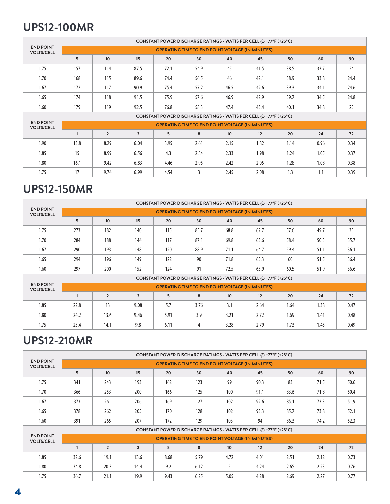### **UPS12-100MR**

|                                       | CONSTANT POWER DISCHARGE RATINGS - WATTS PER CELL @ +77°F (+25°C) |                |                         |      |                                                         |                  |                                                                   |      |      |      |  |
|---------------------------------------|-------------------------------------------------------------------|----------------|-------------------------|------|---------------------------------------------------------|------------------|-------------------------------------------------------------------|------|------|------|--|
| <b>END POINT</b><br><b>VOLTS/CELL</b> |                                                                   |                |                         |      | <b>OPERATING TIME TO END POINT VOLTAGE (IN MINUTES)</b> |                  |                                                                   |      |      |      |  |
|                                       | 5                                                                 | 10             | 15                      | 20   | 30                                                      | 40               | 45                                                                | 50   | 60   | 90   |  |
| 1.75                                  | 157                                                               | 114            | 87.5                    | 72.1 | 54.9                                                    | 45               | 41.5                                                              | 38.5 | 33.7 | 24   |  |
| 1.70                                  | 168                                                               | 115            | 89.6                    | 74.4 | 56.5                                                    | 46               | 42.1                                                              | 38.9 | 33.8 | 24.4 |  |
| 1.67                                  | 172                                                               | 117            | 90.9                    | 75.4 | 57.2                                                    | 46.5             | 42.6                                                              | 39.3 | 34.1 | 24.6 |  |
| 1.65                                  | 174                                                               | 118            | 91.5                    | 75.9 | 57.6                                                    | 46.9             | 42.9                                                              | 39.7 | 34.5 | 24.8 |  |
| 1.60                                  | 179                                                               | 119            | 92.5                    | 76.8 | 58.3                                                    | 47.4             | 43.4                                                              | 40.1 | 34.8 | 25   |  |
|                                       |                                                                   |                |                         |      |                                                         |                  | CONSTANT POWER DISCHARGE RATINGS - WATTS PER CELL @ +77°F (+25°C) |      |      |      |  |
| <b>END POINT</b><br><b>VOLTS/CELL</b> |                                                                   |                |                         |      | <b>OPERATING TIME TO END POINT VOLTAGE (IN MINUTES)</b> |                  |                                                                   |      |      |      |  |
|                                       | $\mathbf{1}$                                                      | $\overline{2}$ | $\overline{\mathbf{3}}$ | 5    | 8                                                       | 10 <sup>10</sup> | 12                                                                | 20   | 24   | 72   |  |
| 1.90                                  | 13.8                                                              | 8.29           | 6.04                    | 3.95 | 2.61                                                    | 2.15             | 1.82                                                              | 1.14 | 0.96 | 0.34 |  |
| 1.85                                  | 15                                                                | 8.99           | 6.56                    | 4.3  | 2.84                                                    | 2.33             | 1.98                                                              | 1.24 | 1.05 | 0.37 |  |
| 1.80                                  | 16.1                                                              | 9.42           | 6.83                    | 4.46 | 2.95                                                    | 2.42             | 2.05                                                              | 1.28 | 1.08 | 0.38 |  |
| 1.75                                  | 17                                                                | 9.74           | 6.99                    | 4.54 | 3                                                       | 2.45             | 2.08                                                              | 1.3  | 1.1  | 0.39 |  |

### **UPS12-150MR**

|                                       | CONSTANT POWER DISCHARGE RATINGS - WATTS PER CELL @ +77°F (+25°C) |                |      |      |      |      |                                                                   |      |      |      |  |  |
|---------------------------------------|-------------------------------------------------------------------|----------------|------|------|------|------|-------------------------------------------------------------------|------|------|------|--|--|
| <b>END POINT</b><br><b>VOLTS/CELL</b> |                                                                   |                |      |      |      |      | <b>OPERATING TIME TO END POINT VOLTAGE (IN MINUTES)</b>           |      |      |      |  |  |
|                                       | 5                                                                 | 10             | 15   | 20   | 30   | 40   | 45                                                                | 50   | 60   | 90   |  |  |
| 1.75                                  | 273                                                               | 182            | 140  | 115  | 85.7 | 68.8 | 62.7                                                              | 57.6 | 49.7 | 35   |  |  |
| 1.70                                  | 284                                                               | 188            | 144  | 117  | 87.1 | 69.8 | 63.6                                                              | 58.4 | 50.3 | 35.7 |  |  |
| 1.67                                  | 290                                                               | 193            | 148  | 120  | 88.9 | 71.1 | 64.7                                                              | 59.4 | 51.1 | 36.1 |  |  |
| 1.65                                  | 294                                                               | 196            | 149  | 122  | 90   | 71.8 | 65.3                                                              | 60   | 51.5 | 36.4 |  |  |
| 1.60                                  | 297                                                               | 200            | 152  | 124  | 91   | 72.5 | 65.9                                                              | 60.5 | 51.9 | 36.6 |  |  |
|                                       |                                                                   |                |      |      |      |      | CONSTANT POWER DISCHARGE RATINGS - WATTS PER CELL @ +77°F (+25°C) |      |      |      |  |  |
| <b>END POINT</b><br><b>VOLTS/CELL</b> |                                                                   |                |      |      |      |      | <b>OPERATING TIME TO END POINT VOLTAGE (IN MINUTES)</b>           |      |      |      |  |  |
|                                       |                                                                   | $\overline{2}$ | 3    | 5    | 8    | 10   | 12                                                                | 20   | 24   | 72   |  |  |
| 1.85                                  | 22.8                                                              | 13             | 9.08 | 5.7  | 3.76 | 3.1  | 2.64                                                              | 1.64 | 1.38 | 0.47 |  |  |
| 1.80                                  | 24.2                                                              | 13.6           | 9.46 | 5.91 | 3.9  | 3.21 | 2.72                                                              | 1.69 | 1.41 | 0.48 |  |  |
| 1.75                                  | 25.4                                                              | 14.1           | 9.8  | 6.11 | 4    | 3.28 | 2.79                                                              | 1.73 | 1.45 | 0.49 |  |  |

### **UPS12-210MR**

|                                       | CONSTANT POWER DISCHARGE RATINGS - WATTS PER CELL @ +77°F (+25°C) |                  |      |                                                                   |      |                                                         |      |      |      |      |  |
|---------------------------------------|-------------------------------------------------------------------|------------------|------|-------------------------------------------------------------------|------|---------------------------------------------------------|------|------|------|------|--|
| <b>END POINT</b><br><b>VOLTS/CELL</b> |                                                                   |                  |      |                                                                   |      | <b>OPERATING TIME TO END POINT VOLTAGE (IN MINUTES)</b> |      |      |      |      |  |
|                                       | 5                                                                 | 10 <sup>10</sup> | 15   | 20                                                                | 30   | 40                                                      | 45   | 50   | 60   | 90   |  |
| 1.75                                  | 341                                                               | 243              | 193  | 162                                                               | 123  | 99                                                      | 90.3 | 83   | 71.5 | 50.6 |  |
| 1.70                                  | 366                                                               | 253              | 200  | 166                                                               | 125  | 100                                                     | 91.1 | 83.6 | 71.8 | 50.4 |  |
| 1.67                                  | 373                                                               | 261              | 206  | 169                                                               | 127  | 102                                                     | 92.6 | 85.1 | 73.3 | 51.9 |  |
| 1.65                                  | 378                                                               | 262              | 205  | 170                                                               | 128  | 102                                                     | 93.3 | 85.7 | 73.8 | 52.1 |  |
| 1.60                                  | 391                                                               | 265              | 207  | 172                                                               | 129  | 103                                                     | 94   | 86.3 | 74.2 | 52.3 |  |
|                                       |                                                                   |                  |      | CONSTANT POWER DISCHARGE RATINGS - WATTS PER CELL @ +77°F (+25°C) |      |                                                         |      |      |      |      |  |
| <b>END POINT</b><br><b>VOLTS/CELL</b> |                                                                   |                  |      |                                                                   |      | <b>OPERATING TIME TO END POINT VOLTAGE (IN MINUTES)</b> |      |      |      |      |  |
|                                       | $\mathbf{1}$                                                      | $\overline{2}$   | 3    | 5                                                                 | 8    | 10 <sup>10</sup>                                        | 12   | 20   | 24   | 72   |  |
| 1.85                                  | 32.6                                                              | 19.1             | 13.6 | 8.68                                                              | 5.79 | 4.72                                                    | 4.01 | 2.51 | 2.12 | 0.73 |  |
| 1.80                                  | 34.8                                                              | 20.3             | 14.4 | 9.2                                                               | 6.12 | 5                                                       | 4.24 | 2.65 | 2.23 | 0.76 |  |
| 1.75                                  | 36.7                                                              | 21.1             | 19.9 | 9.43                                                              | 6.25 | 5.05                                                    | 4.28 | 2.69 | 2.27 | 0.77 |  |
|                                       |                                                                   |                  |      |                                                                   |      |                                                         |      |      |      |      |  |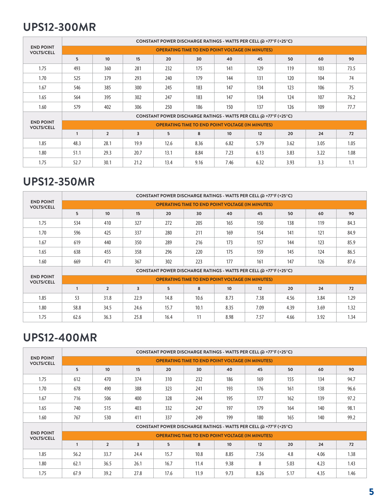### **UPS12-300MR**

|                                       | CONSTANT POWER DISCHARGE RATINGS - WATTS PER CELL @ +77°F (+25°C) |                |      |                |                                                         |                  |                                                                   |      |      |      |  |
|---------------------------------------|-------------------------------------------------------------------|----------------|------|----------------|---------------------------------------------------------|------------------|-------------------------------------------------------------------|------|------|------|--|
| <b>END POINT</b><br><b>VOLTS/CELL</b> |                                                                   |                |      |                | <b>OPERATING TIME TO END POINT VOLTAGE (IN MINUTES)</b> |                  |                                                                   |      |      |      |  |
|                                       | 5                                                                 | 10             | 15   | 20             | 30                                                      | 40               | 45                                                                | 50   | 60   | 90   |  |
| 1.75                                  | 493                                                               | 360            | 281  | 232            | 175                                                     | 141              | 129                                                               | 119  | 103  | 73.5 |  |
| 1.70                                  | 525                                                               | 379            | 293  | 240            | 179                                                     | 144              | 131                                                               | 120  | 104  | 74   |  |
| 1.67                                  | 546                                                               | 385            | 300  | 245            | 183                                                     | 147              | 134                                                               | 123  | 106  | 75   |  |
| 1.65                                  | 564                                                               | 395            | 302  | 247            | 183                                                     | 147              | 134                                                               | 124  | 107  | 76.2 |  |
| 1.60                                  | 579                                                               | 402            | 306  | 250            | 186                                                     | 150              | 137                                                               | 126  | 109  | 77.7 |  |
|                                       |                                                                   |                |      |                |                                                         |                  | CONSTANT POWER DISCHARGE RATINGS - WATTS PER CELL @ +77°F (+25°C) |      |      |      |  |
| <b>END POINT</b><br><b>VOLTS/CELL</b> |                                                                   |                |      |                | <b>OPERATING TIME TO END POINT VOLTAGE (IN MINUTES)</b> |                  |                                                                   |      |      |      |  |
|                                       |                                                                   | $\overline{2}$ | 3    | 5 <sup>5</sup> | 8                                                       | 10 <sup>10</sup> | 12                                                                | 20   | 24   | 72   |  |
| 1.85                                  | 48.3                                                              | 28.1           | 19.9 | 12.6           | 8.36                                                    | 6.82             | 5.79                                                              | 3.62 | 3.05 | 1.05 |  |
| 1.80                                  | 51.1                                                              | 29.3           | 20.7 | 13.1           | 8.84                                                    | 7.23             | 6.13                                                              | 3.83 | 3.22 | 1.08 |  |
| 1.75                                  | 52.7                                                              | 30.1           | 21.2 | 13.4           | 9.16                                                    | 7.46             | 6.32                                                              | 3.93 | 3.3  | 1.1  |  |

#### **UPS12-350MR**

|                                       |              |                |      |      |      |                                                         | CONSTANT POWER DISCHARGE RATINGS - WATTS PER CELL @ +77°F (+25°C) |      |      |      |
|---------------------------------------|--------------|----------------|------|------|------|---------------------------------------------------------|-------------------------------------------------------------------|------|------|------|
| <b>END POINT</b><br><b>VOLTS/CELL</b> |              |                |      |      |      | <b>OPERATING TIME TO END POINT VOLTAGE (IN MINUTES)</b> |                                                                   |      |      |      |
|                                       | 5            | 10             | 15   | 20   | 30   | 40                                                      | 45                                                                | 50   | 60   | 90   |
| 1.75                                  | 534          | 410            | 327  | 272  | 205  | 165                                                     | 150                                                               | 138  | 119  | 84.3 |
| 1.70                                  | 596          | 425            | 337  | 280  | 211  | 169                                                     | 154                                                               | 141  | 121  | 84.9 |
| 1.67                                  | 619          | 440            | 350  | 289  | 216  | 173                                                     | 157                                                               | 144  | 123  | 85.9 |
| 1.65                                  | 638          | 455            | 358  | 296  | 220  | 175                                                     | 159                                                               | 145  | 124  | 86.5 |
| 1.60                                  | 669          | 471            | 367  | 302  | 223  | 177                                                     | 161                                                               | 147  | 126  | 87.6 |
|                                       |              |                |      |      |      |                                                         | CONSTANT POWER DISCHARGE RATINGS - WATTS PER CELL @ +77°F (+25°C) |      |      |      |
| <b>END POINT</b><br><b>VOLTS/CELL</b> |              |                |      |      |      | <b>OPERATING TIME TO END POINT VOLTAGE (IN MINUTES)</b> |                                                                   |      |      |      |
|                                       | $\mathbf{1}$ | $\overline{2}$ | 3    | 5    | 8    | 10 <sup>10</sup>                                        | 12                                                                | 20   | 24   | 72   |
| 1.85                                  | 53           | 31.8           | 22.9 | 14.8 | 10.6 | 8.73                                                    | 7.38                                                              | 4.56 | 3.84 | 1.29 |
| 1.80                                  | 58.8         | 34.5           | 24.6 | 15.7 | 10.1 | 8.35                                                    | 7.09                                                              | 4.39 | 3.69 | 1.32 |
| 1.75                                  | 62.6         | 36.3           | 25.8 | 16.4 | 11   | 8.98                                                    | 7.57                                                              | 4.66 | 3.92 | 1.34 |

### **UPS12-400MR**

|                                       |      | CONSTANT POWER DISCHARGE RATINGS - WATTS PER CELL @ +77°F (+25°C) |                |      |      |                                                         |                                                                   |      |      |      |  |  |  |
|---------------------------------------|------|-------------------------------------------------------------------|----------------|------|------|---------------------------------------------------------|-------------------------------------------------------------------|------|------|------|--|--|--|
| <b>END POINT</b><br><b>VOLTS/CELL</b> |      |                                                                   |                |      |      | <b>OPERATING TIME TO END POINT VOLTAGE (IN MINUTES)</b> |                                                                   |      |      |      |  |  |  |
|                                       | 5    | 10 <sup>1</sup>                                                   | 15             | 20   | 30   | 40                                                      | 45                                                                | 50   | 60   | 90   |  |  |  |
| 1.75                                  | 612  | 470                                                               | 374            | 310  | 232  | 186                                                     | 169                                                               | 155  | 134  | 94.7 |  |  |  |
| 1.70                                  | 678  | 490                                                               | 388            | 323  | 241  | 193                                                     | 176                                                               | 161  | 138  | 96.6 |  |  |  |
| 1.67                                  | 716  | 506                                                               | 400            | 328  | 244  | 195                                                     | 177                                                               | 162  | 139  | 97.2 |  |  |  |
| 1.65                                  | 740  | 515                                                               | 403            | 332  | 247  | 197                                                     | 179                                                               | 164  | 140  | 98.1 |  |  |  |
| 1.60                                  | 767  | 530                                                               | 411            | 337  | 249  | 199                                                     | 180                                                               | 165  | 140  | 99.2 |  |  |  |
|                                       |      |                                                                   |                |      |      |                                                         | CONSTANT POWER DISCHARGE RATINGS - WATTS PER CELL @ +77°F (+25°C) |      |      |      |  |  |  |
| <b>END POINT</b><br><b>VOLTS/CELL</b> |      |                                                                   |                |      |      | <b>OPERATING TIME TO END POINT VOLTAGE (IN MINUTES)</b> |                                                                   |      |      |      |  |  |  |
|                                       |      | $\overline{2}$                                                    | $\overline{3}$ | 5    | 8    | 10 <sup>10</sup>                                        | 12                                                                | 20   | 24   | 72   |  |  |  |
| 1.85                                  | 56.2 | 33.7                                                              | 24.4           | 15.7 | 10.8 | 8.85                                                    | 7.56                                                              | 4.8  | 4.06 | 1.38 |  |  |  |
| 1.80                                  | 62.1 | 36.5                                                              | 26.1           | 16.7 | 11.4 | 9.38                                                    | 8                                                                 | 5.03 | 4.23 | 1.43 |  |  |  |
| 1.75                                  | 67.9 | 39.2                                                              | 27.8           | 17.6 | 11.9 | 9.73                                                    | 8.26                                                              | 5.17 | 4.35 | 1.46 |  |  |  |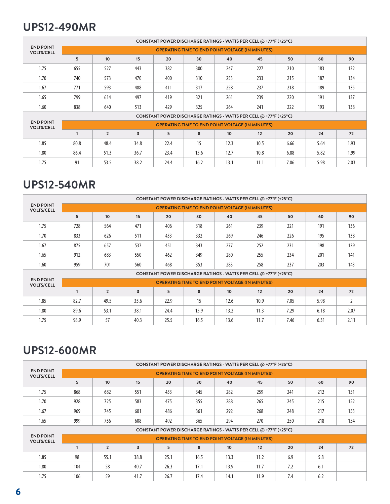#### **UPS12-490MR**

|                                       | CONSTANT POWER DISCHARGE RATINGS - WATTS PER CELL @ +77°F (+25°C) |                |                |                |                                                         |                  |                                                                   |      |      |      |  |
|---------------------------------------|-------------------------------------------------------------------|----------------|----------------|----------------|---------------------------------------------------------|------------------|-------------------------------------------------------------------|------|------|------|--|
| <b>END POINT</b><br><b>VOLTS/CELL</b> |                                                                   |                |                |                | <b>OPERATING TIME TO END POINT VOLTAGE (IN MINUTES)</b> |                  |                                                                   |      |      |      |  |
|                                       | 5                                                                 | 10             | 15             | 20             | 30                                                      | 40               | 45                                                                | 50   | 60   | 90   |  |
| 1.75                                  | 655                                                               | 527            | 443            | 382            | 300                                                     | 247              | 227                                                               | 210  | 183  | 132  |  |
| 1.70                                  | 740                                                               | 573            | 470            | 400            | 310                                                     | 253              | 233                                                               | 215  | 187  | 134  |  |
| 1.67                                  | 771                                                               | 593            | 488            | 411            | 317                                                     | 258              | 237                                                               | 218  | 189  | 135  |  |
| 1.65                                  | 799                                                               | 614            | 497            | 419            | 321                                                     | 261              | 239                                                               | 220  | 191  | 137  |  |
| 1.60                                  | 838                                                               | 640            | 513            | 429            | 325                                                     | 264              | 241                                                               | 222  | 193  | 138  |  |
|                                       |                                                                   |                |                |                |                                                         |                  | CONSTANT POWER DISCHARGE RATINGS - WATTS PER CELL @ +77°F (+25°C) |      |      |      |  |
| <b>END POINT</b><br><b>VOLTS/CELL</b> |                                                                   |                |                |                | <b>OPERATING TIME TO END POINT VOLTAGE (IN MINUTES)</b> |                  |                                                                   |      |      |      |  |
|                                       |                                                                   | $\overline{2}$ | $\overline{3}$ | 5 <sup>5</sup> | 8                                                       | 10 <sup>10</sup> | 12                                                                | 20   | 24   | 72   |  |
| 1.85                                  | 80.8                                                              | 48.4           | 34.8           | 22.4           | 15                                                      | 12.3             | 10.5                                                              | 6.66 | 5.64 | 1.93 |  |
| 1.80                                  | 86.4                                                              | 51.3           | 36.7           | 23.4           | 15.6                                                    | 12.7             | 10.8                                                              | 6.88 | 5.82 | 1.99 |  |
| 1.75                                  | 91                                                                | 53.5           | 38.2           | 24.4           | 16.2                                                    | 13.1             | 11.1                                                              | 7.06 | 5.98 | 2.03 |  |

#### **UPS12-540MR**

|                                       | CONSTANT POWER DISCHARGE RATINGS - WATTS PER CELL @ +77°F (+25°C) |                  |      |                                                                   |                                                         |                  |      |      |      |                |
|---------------------------------------|-------------------------------------------------------------------|------------------|------|-------------------------------------------------------------------|---------------------------------------------------------|------------------|------|------|------|----------------|
| <b>END POINT</b><br><b>VOLTS/CELL</b> |                                                                   |                  |      |                                                                   | <b>OPERATING TIME TO END POINT VOLTAGE (IN MINUTES)</b> |                  |      |      |      |                |
|                                       | 5                                                                 | 10 <sup>10</sup> | 15   | 20                                                                | 30                                                      | 40               | 45   | 50   | 60   | 90             |
| 1.75                                  | 728                                                               | 564              | 471  | 406                                                               | 318                                                     | 261              | 239  | 221  | 191  | 136            |
| 1.70                                  | 833                                                               | 626              | 511  | 433                                                               | 332                                                     | 269              | 246  | 226  | 195  | 138            |
| 1.67                                  | 875                                                               | 657              | 537  | 451                                                               | 343                                                     | 277              | 252  | 231  | 198  | 139            |
| 1.65                                  | 912                                                               | 683              | 550  | 462                                                               | 349                                                     | 280              | 255  | 234  | 201  | 141            |
| 1.60                                  | 959                                                               | 701              | 560  | 468                                                               | 353                                                     | 283              | 258  | 237  | 203  | 143            |
|                                       |                                                                   |                  |      | CONSTANT POWER DISCHARGE RATINGS - WATTS PER CELL @ +77°F (+25°C) |                                                         |                  |      |      |      |                |
| <b>END POINT</b><br><b>VOLTS/CELL</b> |                                                                   |                  |      |                                                                   | <b>OPERATING TIME TO END POINT VOLTAGE (IN MINUTES)</b> |                  |      |      |      |                |
|                                       |                                                                   | $\overline{2}$   | 3    | 5                                                                 | 8                                                       | 10 <sup>10</sup> | 12   | 20   | 24   | 72             |
| 1.85                                  | 82.7                                                              | 49.5             | 35.6 | 22.9                                                              | 15                                                      | 12.6             | 10.9 | 7.05 | 5.98 | $\overline{2}$ |
| 1.80                                  | 89.6                                                              | 53.1             | 38.1 | 24.4                                                              | 15.9                                                    | 13.2             | 11.3 | 7.29 | 6.18 | 2.07           |
| 1.75                                  | 98.9                                                              | 57               | 40.3 | 25.5                                                              | 16.5                                                    | 13.6             | 11.7 | 7.46 | 6.31 | 2.11           |

### **UPS12-600MR**

|                                       |              | CONSTANT POWER DISCHARGE RATINGS - WATTS PER CELL @ +77°F (+25°C) |                |                                                                   |      |                                                         |      |     |     |     |  |  |  |
|---------------------------------------|--------------|-------------------------------------------------------------------|----------------|-------------------------------------------------------------------|------|---------------------------------------------------------|------|-----|-----|-----|--|--|--|
| <b>END POINT</b><br><b>VOLTS/CELL</b> |              |                                                                   |                |                                                                   |      | <b>OPERATING TIME TO END POINT VOLTAGE (IN MINUTES)</b> |      |     |     |     |  |  |  |
|                                       | 5            | 10                                                                | 15             | 20                                                                | 30   | 40                                                      | 45   | 50  | 60  | 90  |  |  |  |
| 1.75                                  | 868          | 682                                                               | 551            | 453                                                               | 345  | 282                                                     | 259  | 241 | 212 | 151 |  |  |  |
| 1.70                                  | 928          | 725                                                               | 583            | 475                                                               | 355  | 288                                                     | 265  | 245 | 215 | 152 |  |  |  |
| 1.67                                  | 969          | 745                                                               | 601            | 486                                                               | 361  | 292                                                     | 268  | 248 | 217 | 153 |  |  |  |
| 1.65                                  | 999          | 756                                                               | 608            | 492                                                               | 365  | 294                                                     | 270  | 250 | 218 | 154 |  |  |  |
|                                       |              |                                                                   |                | CONSTANT POWER DISCHARGE RATINGS - WATTS PER CELL @ +77°F (+25°C) |      |                                                         |      |     |     |     |  |  |  |
| <b>END POINT</b><br><b>VOLTS/CELL</b> |              |                                                                   |                |                                                                   |      | <b>OPERATING TIME TO END POINT VOLTAGE (IN MINUTES)</b> |      |     |     |     |  |  |  |
|                                       | $\mathbf{1}$ | $\overline{2}$                                                    | $\overline{3}$ | 5                                                                 | 8    | 10 <sup>10</sup>                                        | 12   | 20  | 24  | 72  |  |  |  |
| 1.85                                  | 98           | 55.1                                                              | 38.8           | 25.1                                                              | 16.5 | 13.3                                                    | 11.2 | 6.9 | 5.8 |     |  |  |  |
| 1.80                                  | 104          | 58                                                                | 40.7           | 26.3                                                              | 17.1 | 13.9                                                    | 11.7 | 7.2 | 6.1 |     |  |  |  |
| 1.75                                  | 106          | 59                                                                | 41.7           | 26.7                                                              | 17.4 | 14.1                                                    | 11.9 | 7.4 | 6.2 |     |  |  |  |
|                                       |              |                                                                   |                |                                                                   |      |                                                         |      |     |     |     |  |  |  |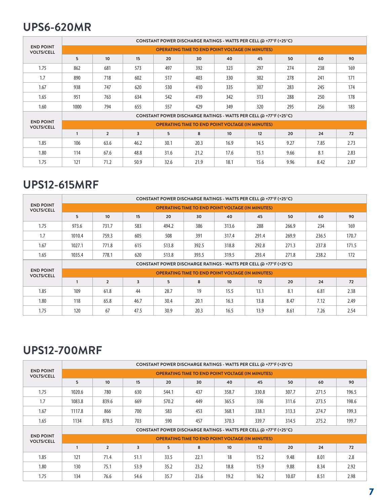### **UPS6-620MR**

| <b>END POINT</b><br><b>VOLTS/CELL</b> | CONSTANT POWER DISCHARGE RATINGS - WATTS PER CELL @ +77°F (+25°C) |                |      |      |      |                  |      |      |      |      |  |  |  |
|---------------------------------------|-------------------------------------------------------------------|----------------|------|------|------|------------------|------|------|------|------|--|--|--|
|                                       | <b>OPERATING TIME TO END POINT VOLTAGE (IN MINUTES)</b>           |                |      |      |      |                  |      |      |      |      |  |  |  |
|                                       | 5                                                                 | 10             | 15   | 20   | 30   | 40               | 45   | 50   | 60   | 90   |  |  |  |
| 1.75                                  | 862                                                               | 681            | 573  | 497  | 392  | 323              | 297  | 274  | 238  | 169  |  |  |  |
| 1.7                                   | 890                                                               | 718            | 602  | 517  | 403  | 330              | 302  | 278  | 241  | 171  |  |  |  |
| 1.67                                  | 938                                                               | 747            | 620  | 530  | 410  | 335              | 307  | 283  | 245  | 174  |  |  |  |
| 1.65                                  | 951                                                               | 763            | 634  | 542  | 419  | 342              | 313  | 288  | 250  | 178  |  |  |  |
| 1.60                                  | 1000                                                              | 794            | 655  | 557  | 429  | 349              | 320  | 295  | 256  | 183  |  |  |  |
| <b>END POINT</b><br><b>VOLTS/CELL</b> | CONSTANT POWER DISCHARGE RATINGS - WATTS PER CELL @ +77°F (+25°C) |                |      |      |      |                  |      |      |      |      |  |  |  |
|                                       | <b>OPERATING TIME TO END POINT VOLTAGE (IN MINUTES)</b>           |                |      |      |      |                  |      |      |      |      |  |  |  |
|                                       |                                                                   | $\overline{2}$ | 3    | 5    | 8    | 10 <sup>10</sup> | 12   | 20   | 24   | 72   |  |  |  |
| 1.85                                  | 106                                                               | 63.6           | 46.2 | 30.1 | 20.3 | 16.9             | 14.5 | 9.27 | 7.85 | 2.73 |  |  |  |
| 1.80                                  | 114                                                               | 67.6           | 48.8 | 31.6 | 21.2 | 17.6             | 15.1 | 9.66 | 8.1  | 2.83 |  |  |  |
| 1.75                                  | 121                                                               | 71.2           | 50.9 | 32.6 | 21.9 | 18.1             | 15.6 | 9.96 | 8.42 | 2.87 |  |  |  |

#### **UPS12-615MRF**

| <b>END POINT</b><br><b>VOLTS/CELL</b> | CONSTANT POWER DISCHARGE RATINGS - WATTS PER CELL @ +77°F (+25°C) |                                                         |      |       |       |                  |       |       |       |       |  |  |  |  |
|---------------------------------------|-------------------------------------------------------------------|---------------------------------------------------------|------|-------|-------|------------------|-------|-------|-------|-------|--|--|--|--|
|                                       |                                                                   | <b>OPERATING TIME TO END POINT VOLTAGE (IN MINUTES)</b> |      |       |       |                  |       |       |       |       |  |  |  |  |
|                                       | 5                                                                 | 10                                                      | 15   | 20    | 30    | 40               | 45    | 50    | 60    | 90    |  |  |  |  |
| 1.75                                  | 973.6                                                             | 731.7                                                   | 583  | 494.2 | 386   | 313.6            | 288   | 266.9 | 234   | 169   |  |  |  |  |
| 1.7                                   | 1010.4                                                            | 759.3                                                   | 605  | 508   | 391   | 317.4            | 291.4 | 269.9 | 236.5 | 170.7 |  |  |  |  |
| 1.67                                  | 1027.1                                                            | 771.8                                                   | 615  | 513.8 | 392.5 | 318.8            | 292.8 | 271.3 | 237.8 | 171.5 |  |  |  |  |
| 1.65                                  | 1035.4                                                            | 778.1                                                   | 620  | 513.8 | 393.5 | 319.5            | 293.4 | 271.8 | 238.2 | 172   |  |  |  |  |
| <b>END POINT</b><br><b>VOLTS/CELL</b> | CONSTANT POWER DISCHARGE RATINGS - WATTS PER CELL @ +77°F (+25°C) |                                                         |      |       |       |                  |       |       |       |       |  |  |  |  |
|                                       | <b>OPERATING TIME TO END POINT VOLTAGE (IN MINUTES)</b>           |                                                         |      |       |       |                  |       |       |       |       |  |  |  |  |
|                                       |                                                                   | $\overline{2}$                                          | 3    | 5     | 8     | 10 <sup>10</sup> | 12    | 20    | 24    | 72    |  |  |  |  |
| 1.85                                  | 109                                                               | 61.8                                                    | 44   | 28.7  | 19    | 15.5             | 13.1  | 8.1   | 6.81  | 2.38  |  |  |  |  |
| 1.80                                  | 118                                                               | 65.8                                                    | 46.7 | 30.4  | 20.1  | 16.3             | 13.8  | 8.47  | 7.12  | 2.49  |  |  |  |  |
| 1.75                                  | 120                                                               | 67                                                      | 47.5 | 30.9  | 20.3  | 16.5             | 13.9  | 8.61  | 7.26  | 2.54  |  |  |  |  |

### **UPS12-700MRF**

| <b>END POINT</b><br><b>VOLTS/CELL</b> | CONSTANT POWER DISCHARGE RATINGS - WATTS PER CELL @ +77°F (+25°C) |                                                         |      |       |      |                  |       |       |       |       |  |  |  |  |
|---------------------------------------|-------------------------------------------------------------------|---------------------------------------------------------|------|-------|------|------------------|-------|-------|-------|-------|--|--|--|--|
|                                       |                                                                   | <b>OPERATING TIME TO END POINT VOLTAGE (IN MINUTES)</b> |      |       |      |                  |       |       |       |       |  |  |  |  |
|                                       | 5                                                                 | 10                                                      | 15   | 20    | 30   | 40               | 45    | 50    | 60    | 90    |  |  |  |  |
| 1.75                                  | 1020.6                                                            | 780                                                     | 630  | 544.1 | 437  | 358.7            | 330.8 | 307.7 | 271.5 | 196.5 |  |  |  |  |
| 1.7                                   | 1083.8                                                            | 839.6                                                   | 669  | 570.2 | 449  | 365.5            | 336   | 311.6 | 273.5 | 198.6 |  |  |  |  |
| 1.67                                  | 1117.8                                                            | 866                                                     | 700  | 583   | 453  | 368.1            | 338.1 | 313.3 | 274.7 | 199.3 |  |  |  |  |
| 1.65                                  | 1134                                                              | 878.5                                                   | 703  | 590   | 457  | 370.3            | 339.7 | 314.5 | 275.2 | 199.7 |  |  |  |  |
|                                       | CONSTANT POWER DISCHARGE RATINGS - WATTS PER CELL @ +77°F (+25°C) |                                                         |      |       |      |                  |       |       |       |       |  |  |  |  |
| <b>END POINT</b><br><b>VOLTS/CELL</b> | <b>OPERATING TIME TO END POINT VOLTAGE (IN MINUTES)</b>           |                                                         |      |       |      |                  |       |       |       |       |  |  |  |  |
|                                       |                                                                   | $\overline{2}$                                          | 3    | 5     | 8    | 10 <sup>10</sup> | 12    | 20    | 24    | 72    |  |  |  |  |
| 1.85                                  | 121                                                               | 71.4                                                    | 51.1 | 33.5  | 22.1 | 18               | 15.2  | 9.48  | 8.01  | 2.8   |  |  |  |  |
| 1.80                                  | 130                                                               | 75.1                                                    | 53.9 | 35.2  | 23.2 | 18.8             | 15.9  | 9.88  | 8.34  | 2.92  |  |  |  |  |
| 1.75                                  | 134                                                               | 76.6                                                    | 54.6 | 35.7  | 23.6 | 19.2             | 16.2  | 10.07 | 8.51  | 2.98  |  |  |  |  |
|                                       |                                                                   |                                                         |      |       |      |                  |       |       |       |       |  |  |  |  |